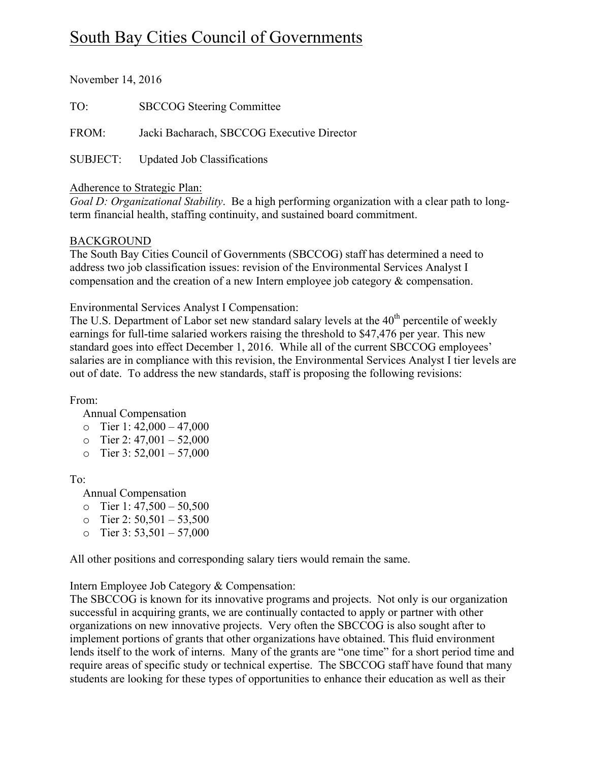# South Bay Cities Council of Governments

November 14, 2016

TO: SBCCOG Steering Committee

FROM: Jacki Bacharach, SBCCOG Executive Director

SUBJECT: Updated Job Classifications

# Adherence to Strategic Plan:

*Goal D: Organizational Stability*. Be a high performing organization with a clear path to longterm financial health, staffing continuity, and sustained board commitment.

# BACKGROUND

The South Bay Cities Council of Governments (SBCCOG) staff has determined a need to address two job classification issues: revision of the Environmental Services Analyst I compensation and the creation of a new Intern employee job category & compensation.

Environmental Services Analyst I Compensation:

The U.S. Department of Labor set new standard salary levels at the 40<sup>th</sup> percentile of weekly earnings for full-time salaried workers raising the threshold to \$47,476 per year. This new standard goes into effect December 1, 2016. While all of the current SBCCOG employees' salaries are in compliance with this revision, the Environmental Services Analyst I tier levels are out of date. To address the new standards, staff is proposing the following revisions:

From:

Annual Compensation

- o Tier 1:  $42,000 47,000$
- $\circ$  Tier 2: 47,001 52,000
- o Tier 3:  $52,001 57,000$

To:

Annual Compensation

- o Tier 1:  $47,500 50,500$
- o Tier 2:  $50,501 53,500$
- $\circ$  Tier 3: 53,501 57,000

All other positions and corresponding salary tiers would remain the same.

Intern Employee Job Category & Compensation:

The SBCCOG is known for its innovative programs and projects. Not only is our organization successful in acquiring grants, we are continually contacted to apply or partner with other organizations on new innovative projects. Very often the SBCCOG is also sought after to implement portions of grants that other organizations have obtained. This fluid environment lends itself to the work of interns. Many of the grants are "one time" for a short period time and require areas of specific study or technical expertise. The SBCCOG staff have found that many students are looking for these types of opportunities to enhance their education as well as their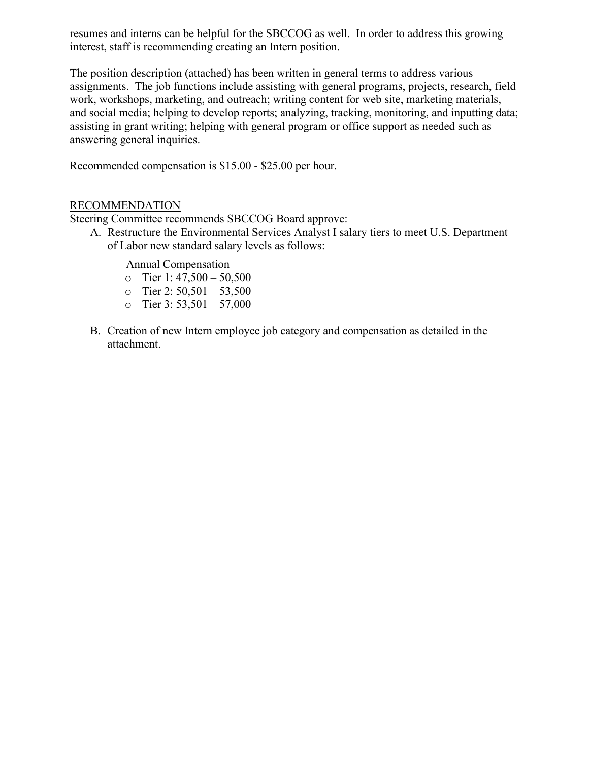resumes and interns can be helpful for the SBCCOG as well. In order to address this growing interest, staff is recommending creating an Intern position.

The position description (attached) has been written in general terms to address various assignments. The job functions include assisting with general programs, projects, research, field work, workshops, marketing, and outreach; writing content for web site, marketing materials, and social media; helping to develop reports; analyzing, tracking, monitoring, and inputting data; assisting in grant writing; helping with general program or office support as needed such as answering general inquiries.

Recommended compensation is \$15.00 - \$25.00 per hour.

# RECOMMENDATION

Steering Committee recommends SBCCOG Board approve:

A. Restructure the Environmental Services Analyst I salary tiers to meet U.S. Department of Labor new standard salary levels as follows:

Annual Compensation

- o Tier 1:  $47,500 50,500$
- o Tier 2:  $50,501 53,500$
- o Tier 3:  $53,501 57,000$
- B. Creation of new Intern employee job category and compensation as detailed in the attachment.